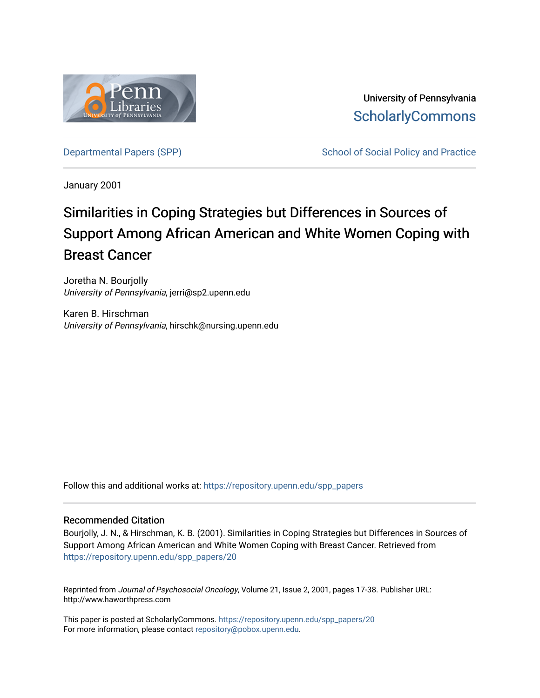

University of Pennsylvania **ScholarlyCommons** 

[Departmental Papers \(SPP\)](https://repository.upenn.edu/spp_papers) School of Social Policy and Practice

January 2001

# Similarities in Coping Strategies but Differences in Sources of Support Among African American and White Women Coping with Breast Cancer

Joretha N. Bourjolly University of Pennsylvania, jerri@sp2.upenn.edu

Karen B. Hirschman University of Pennsylvania, hirschk@nursing.upenn.edu

Follow this and additional works at: [https://repository.upenn.edu/spp\\_papers](https://repository.upenn.edu/spp_papers?utm_source=repository.upenn.edu%2Fspp_papers%2F20&utm_medium=PDF&utm_campaign=PDFCoverPages) 

### Recommended Citation

Bourjolly, J. N., & Hirschman, K. B. (2001). Similarities in Coping Strategies but Differences in Sources of Support Among African American and White Women Coping with Breast Cancer. Retrieved from [https://repository.upenn.edu/spp\\_papers/20](https://repository.upenn.edu/spp_papers/20?utm_source=repository.upenn.edu%2Fspp_papers%2F20&utm_medium=PDF&utm_campaign=PDFCoverPages)

Reprinted from Journal of Psychosocial Oncology, Volume 21, Issue 2, 2001, pages 17-38. Publisher URL: http://www.haworthpress.com

This paper is posted at ScholarlyCommons. [https://repository.upenn.edu/spp\\_papers/20](https://repository.upenn.edu/spp_papers/20)  For more information, please contact [repository@pobox.upenn.edu.](mailto:repository@pobox.upenn.edu)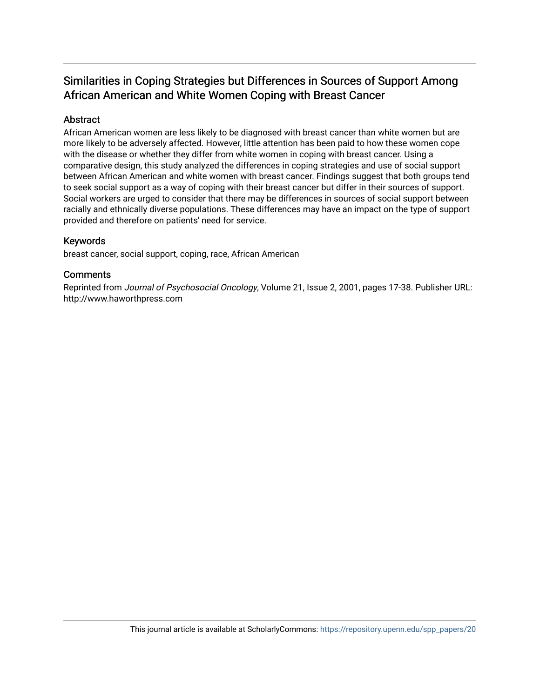## Similarities in Coping Strategies but Differences in Sources of Support Among African American and White Women Coping with Breast Cancer

## Abstract

African American women are less likely to be diagnosed with breast cancer than white women but are more likely to be adversely affected. However, little attention has been paid to how these women cope with the disease or whether they differ from white women in coping with breast cancer. Using a comparative design, this study analyzed the differences in coping strategies and use of social support between African American and white women with breast cancer. Findings suggest that both groups tend to seek social support as a way of coping with their breast cancer but differ in their sources of support. Social workers are urged to consider that there may be differences in sources of social support between racially and ethnically diverse populations. These differences may have an impact on the type of support provided and therefore on patients' need for service.

## Keywords

breast cancer, social support, coping, race, African American

## **Comments**

Reprinted from Journal of Psychosocial Oncology, Volume 21, Issue 2, 2001, pages 17-38. Publisher URL: http://www.haworthpress.com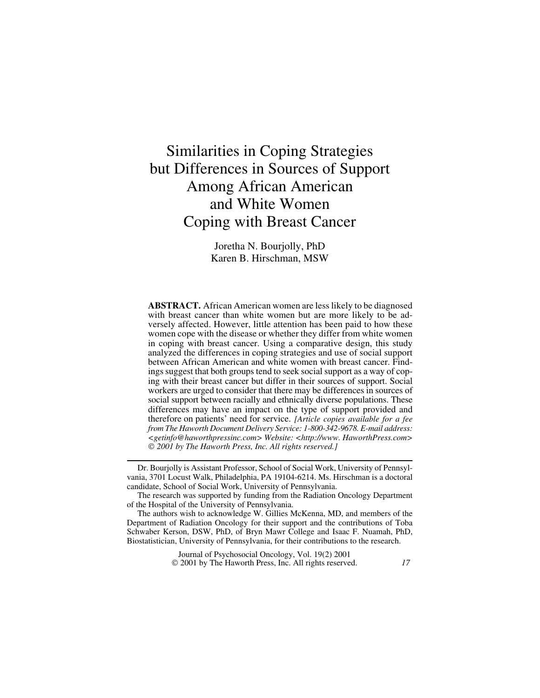## Similarities in Coping Strategies but Differences in Sources of Support Among African American and White Women Coping with Breast Cancer

Joretha N. Bourjolly, PhD Karen B. Hirschman, MSW

**ABSTRACT.** African American women are less likely to be diagnosed with breast cancer than white women but are more likely to be adversely affected. However, little attention has been paid to how these women cope with the disease or whether they differ from white women in coping with breast cancer. Using a comparative design, this study analyzed the differences in coping strategies and use of social support between African American and white women with breast cancer. Findings suggest that both groups tend to seek social support as a way of coping with their breast cancer but differ in their sources of support. Social workers are urged to consider that there may be differences in sources of social support between racially and ethnically diverse populations. These differences may have an impact on the type of support provided and therefore on patients' need for service. *[Article copies available for a fee from The Haworth Document Delivery Service: 1-800-342-9678. E-mail address: <getinfo@haworthpressinc.com> Website: <http://www. HaworthPress.com> 2001 by The Haworth Press, Inc. All rights reserved.]*

Dr. Bourjolly is Assistant Professor, School of Social Work, University of Pennsylvania, 3701 Locust Walk, Philadelphia, PA 19104-6214. Ms. Hirschman is a doctoral candidate, School of Social Work, University of Pennsylvania.

The authors wish to acknowledge W. Gillies McKenna, MD, and members of the Department of Radiation Oncology for their support and the contributions of Toba Schwaber Kerson, DSW, PhD, of Bryn Mawr College and Isaac F. Nuamah, PhD, Biostatistician, University of Pennsylvania, for their contributions to the research.

> Journal of Psychosocial Oncology, Vol. 19(2) 2001 2001 by The Haworth Press, Inc. All rights reserved. *17*

The research was supported by funding from the Radiation Oncology Department of the Hospital of the University of Pennsylvania.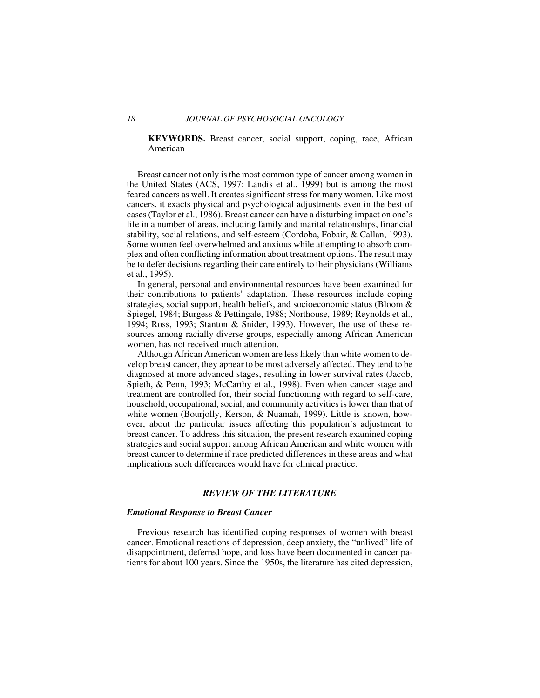**KEYWORDS.** Breast cancer, social support, coping, race, African American

Breast cancer not only is the most common type of cancer among women in the United States (ACS, 1997; Landis et al., 1999) but is among the most feared cancers as well. It creates significant stress for many women. Like most cancers, it exacts physical and psychological adjustments even in the best of cases (Taylor et al., 1986). Breast cancer can have a disturbing impact on one's life in a number of areas, including family and marital relationships, financial stability, social relations, and self-esteem (Cordoba, Fobair, & Callan, 1993). Some women feel overwhelmed and anxious while attempting to absorb complex and often conflicting information about treatment options. The result may be to defer decisions regarding their care entirely to their physicians (Williams et al., 1995).

In general, personal and environmental resources have been examined for their contributions to patients' adaptation. These resources include coping strategies, social support, health beliefs, and socioeconomic status (Bloom & Spiegel, 1984; Burgess & Pettingale, 1988; Northouse, 1989; Reynolds et al., 1994; Ross, 1993; Stanton & Snider, 1993). However, the use of these resources among racially diverse groups, especially among African American women, has not received much attention.

Although African American women are less likely than white women to develop breast cancer, they appear to be most adversely affected. They tend to be diagnosed at more advanced stages, resulting in lower survival rates (Jacob, Spieth, & Penn, 1993; McCarthy et al., 1998). Even when cancer stage and treatment are controlled for, their social functioning with regard to self-care, household, occupational, social, and community activities is lower than that of white women (Bourjolly, Kerson, & Nuamah, 1999). Little is known, however, about the particular issues affecting this population's adjustment to breast cancer. To address this situation, the present research examined coping strategies and social support among African American and white women with breast cancer to determine if race predicted differences in these areas and what implications such differences would have for clinical practice.

#### *REVIEW OF THE LITERATURE*

#### *Emotional Response to Breast Cancer*

Previous research has identified coping responses of women with breast cancer. Emotional reactions of depression, deep anxiety, the "unlived" life of disappointment, deferred hope, and loss have been documented in cancer patients for about 100 years. Since the 1950s, the literature has cited depression,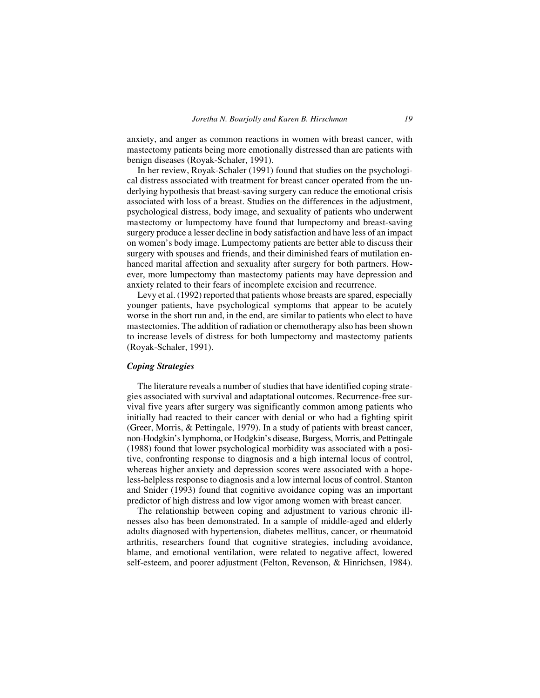anxiety, and anger as common reactions in women with breast cancer, with mastectomy patients being more emotionally distressed than are patients with benign diseases (Royak-Schaler, 1991).

In her review, Royak-Schaler (1991) found that studies on the psychological distress associated with treatment for breast cancer operated from the underlying hypothesis that breast-saving surgery can reduce the emotional crisis associated with loss of a breast. Studies on the differences in the adjustment, psychological distress, body image, and sexuality of patients who underwent mastectomy or lumpectomy have found that lumpectomy and breast-saving surgery produce a lesser decline in body satisfaction and have less of an impact on women's body image. Lumpectomy patients are better able to discuss their surgery with spouses and friends, and their diminished fears of mutilation enhanced marital affection and sexuality after surgery for both partners. However, more lumpectomy than mastectomy patients may have depression and anxiety related to their fears of incomplete excision and recurrence.

Levy et al. (1992) reported that patients whose breasts are spared, especially younger patients, have psychological symptoms that appear to be acutely worse in the short run and, in the end, are similar to patients who elect to have mastectomies. The addition of radiation or chemotherapy also has been shown to increase levels of distress for both lumpectomy and mastectomy patients (Royak-Schaler, 1991).

#### *Coping Strategies*

The literature reveals a number of studies that have identified coping strategies associated with survival and adaptational outcomes. Recurrence-free survival five years after surgery was significantly common among patients who initially had reacted to their cancer with denial or who had a fighting spirit (Greer, Morris, & Pettingale, 1979). In a study of patients with breast cancer, non-Hodgkin's lymphoma, or Hodgkin's disease, Burgess, Morris, and Pettingale (1988) found that lower psychological morbidity was associated with a positive, confronting response to diagnosis and a high internal locus of control, whereas higher anxiety and depression scores were associated with a hopeless-helpless response to diagnosis and a low internal locus of control. Stanton and Snider (1993) found that cognitive avoidance coping was an important predictor of high distress and low vigor among women with breast cancer.

The relationship between coping and adjustment to various chronic illnesses also has been demonstrated. In a sample of middle-aged and elderly adults diagnosed with hypertension, diabetes mellitus, cancer, or rheumatoid arthritis, researchers found that cognitive strategies, including avoidance, blame, and emotional ventilation, were related to negative affect, lowered self-esteem, and poorer adjustment (Felton, Revenson, & Hinrichsen, 1984).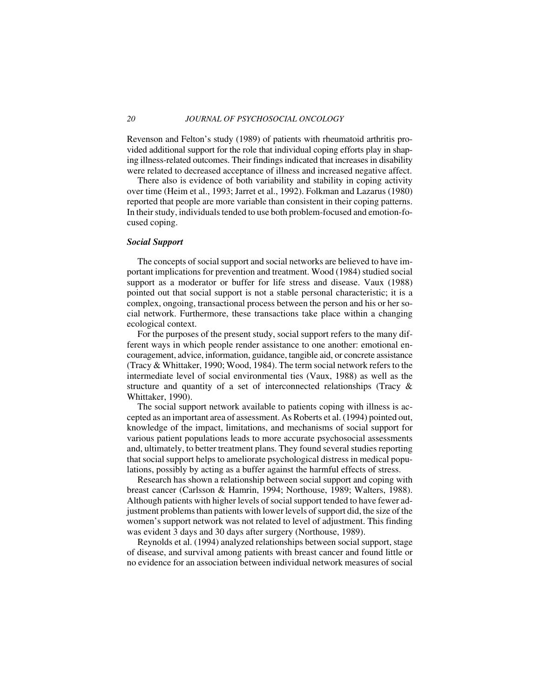Revenson and Felton's study (1989) of patients with rheumatoid arthritis provided additional support for the role that individual coping efforts play in shaping illness-related outcomes. Their findings indicated that increases in disability were related to decreased acceptance of illness and increased negative affect.

There also is evidence of both variability and stability in coping activity over time (Heim et al., 1993; Jarret et al., 1992). Folkman and Lazarus (1980) reported that people are more variable than consistent in their coping patterns. In their study, individuals tended to use both problem-focused and emotion-focused coping.

#### *Social Support*

The concepts of social support and social networks are believed to have important implications for prevention and treatment. Wood (1984) studied social support as a moderator or buffer for life stress and disease. Vaux (1988) pointed out that social support is not a stable personal characteristic; it is a complex, ongoing, transactional process between the person and his or her social network. Furthermore, these transactions take place within a changing ecological context.

For the purposes of the present study, social support refers to the many different ways in which people render assistance to one another: emotional encouragement, advice, information, guidance, tangible aid, or concrete assistance (Tracy & Whittaker, 1990; Wood, 1984). The term social network refers to the intermediate level of social environmental ties (Vaux, 1988) as well as the structure and quantity of a set of interconnected relationships (Tracy  $\&$ Whittaker, 1990).

The social support network available to patients coping with illness is accepted as an important area of assessment. As Roberts et al. (1994) pointed out, knowledge of the impact, limitations, and mechanisms of social support for various patient populations leads to more accurate psychosocial assessments and, ultimately, to better treatment plans. They found several studies reporting that social support helps to ameliorate psychological distress in medical populations, possibly by acting as a buffer against the harmful effects of stress.

Research has shown a relationship between social support and coping with breast cancer (Carlsson & Hamrin, 1994; Northouse, 1989; Walters, 1988). Although patients with higher levels of social support tended to have fewer adjustment problems than patients with lower levels of support did, the size of the women's support network was not related to level of adjustment. This finding was evident 3 days and 30 days after surgery (Northouse, 1989).

Reynolds et al. (1994) analyzed relationships between social support, stage of disease, and survival among patients with breast cancer and found little or no evidence for an association between individual network measures of social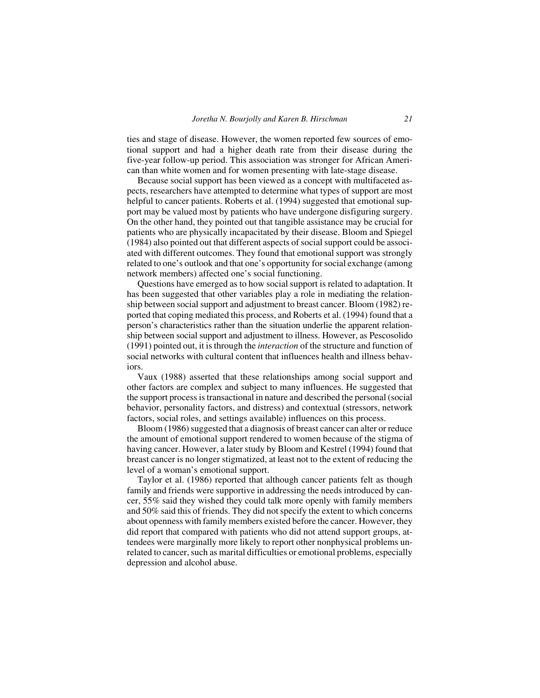ties and stage of disease. However, the women reported few sources of emotional support and had a higher death rate from their disease during the five-year follow-up period. This association was stronger for African American than white women and for women presenting with late-stage disease.

Because social support has been viewed as a concept with multifaceted aspects, researchers have attempted to determine what types of support are most helpful to cancer patients. Roberts et al. (1994) suggested that emotional support may be valued most by patients who have undergone disfiguring surgery. On the other hand, they pointed out that tangible assistance may be crucial for patients who are physically incapacitated by their disease. Bloom and Spiegel (1984) also pointed out that different aspects of social support could be associated with different outcomes. They found that emotional support was strongly related to one's outlook and that one's opportunity for social exchange (among network members) affected one's social functioning.

Questions have emerged as to how social support is related to adaptation. It has been suggested that other variables play a role in mediating the relationship between social support and adjustment to breast cancer. Bloom (1982) reported that coping mediated this process, and Roberts et al. (1994) found that a person's characteristics rather than the situation underlie the apparent relationship between social support and adjustment to illness. However, as Pescosolido (1991) pointed out, it is through the *interaction* of the structure and function of social networks with cultural content that influences health and illness behaviors.

Vaux (1988) asserted that these relationships among social support and other factors are complex and subject to many influences. He suggested that the support process is transactional in nature and described the personal (social behavior, personality factors, and distress) and contextual (stressors, network factors, social roles, and settings available) influences on this process.

Bloom (1986) suggested that a diagnosis of breast cancer can alter or reduce the amount of emotional support rendered to women because of the stigma of having cancer. However, a later study by Bloom and Kestrel (1994) found that breast cancer is no longer stigmatized, at least not to the extent of reducing the level of a woman's emotional support.

Taylor et al. (1986) reported that although cancer patients felt as though family and friends were supportive in addressing the needs introduced by cancer, 55% said they wished they could talk more openly with family members and 50% said this of friends. They did not specify the extent to which concerns about openness with family members existed before the cancer. However, they did report that compared with patients who did not attend support groups, attendees were marginally more likely to report other nonphysical problems unrelated to cancer, such as marital difficulties or emotional problems, especially depression and alcohol abuse.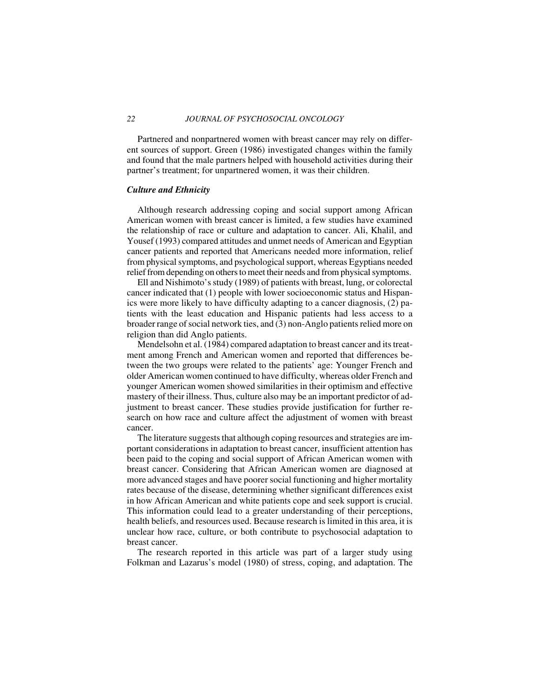Partnered and nonpartnered women with breast cancer may rely on different sources of support. Green (1986) investigated changes within the family and found that the male partners helped with household activities during their partner's treatment; for unpartnered women, it was their children.

#### *Culture and Ethnicity*

Although research addressing coping and social support among African American women with breast cancer is limited, a few studies have examined the relationship of race or culture and adaptation to cancer. Ali, Khalil, and Yousef (1993) compared attitudes and unmet needs of American and Egyptian cancer patients and reported that Americans needed more information, relief from physical symptoms, and psychological support, whereas Egyptians needed relief from depending on others to meet their needs and from physical symptoms.

Ell and Nishimoto's study (1989) of patients with breast, lung, or colorectal cancer indicated that (1) people with lower socioeconomic status and Hispanics were more likely to have difficulty adapting to a cancer diagnosis, (2) patients with the least education and Hispanic patients had less access to a broader range of social network ties, and (3) non-Anglo patients relied more on religion than did Anglo patients.

Mendelsohn et al. (1984) compared adaptation to breast cancer and its treatment among French and American women and reported that differences between the two groups were related to the patients' age: Younger French and older American women continued to have difficulty, whereas older French and younger American women showed similarities in their optimism and effective mastery of their illness. Thus, culture also may be an important predictor of adjustment to breast cancer. These studies provide justification for further research on how race and culture affect the adjustment of women with breast cancer.

The literature suggests that although coping resources and strategies are important considerations in adaptation to breast cancer, insufficient attention has been paid to the coping and social support of African American women with breast cancer. Considering that African American women are diagnosed at more advanced stages and have poorer social functioning and higher mortality rates because of the disease, determining whether significant differences exist in how African American and white patients cope and seek support is crucial. This information could lead to a greater understanding of their perceptions, health beliefs, and resources used. Because research is limited in this area, it is unclear how race, culture, or both contribute to psychosocial adaptation to breast cancer.

The research reported in this article was part of a larger study using Folkman and Lazarus's model (1980) of stress, coping, and adaptation. The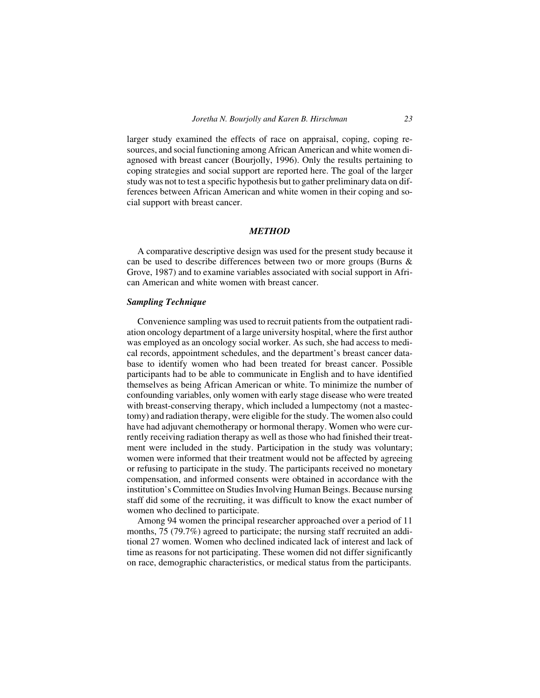larger study examined the effects of race on appraisal, coping, coping resources, and social functioning among African American and white women diagnosed with breast cancer (Bourjolly, 1996). Only the results pertaining to coping strategies and social support are reported here. The goal of the larger study was not to test a specific hypothesis but to gather preliminary data on differences between African American and white women in their coping and social support with breast cancer.

#### *METHOD*

A comparative descriptive design was used for the present study because it can be used to describe differences between two or more groups (Burns & Grove, 1987) and to examine variables associated with social support in African American and white women with breast cancer.

#### *Sampling Technique*

Convenience sampling was used to recruit patients from the outpatient radiation oncology department of a large university hospital, where the first author was employed as an oncology social worker. As such, she had access to medical records, appointment schedules, and the department's breast cancer database to identify women who had been treated for breast cancer. Possible participants had to be able to communicate in English and to have identified themselves as being African American or white. To minimize the number of confounding variables, only women with early stage disease who were treated with breast-conserving therapy, which included a lumpectomy (not a mastectomy) and radiation therapy, were eligible for the study. The women also could have had adjuvant chemotherapy or hormonal therapy. Women who were currently receiving radiation therapy as well as those who had finished their treatment were included in the study. Participation in the study was voluntary; women were informed that their treatment would not be affected by agreeing or refusing to participate in the study. The participants received no monetary compensation, and informed consents were obtained in accordance with the institution's Committee on Studies Involving Human Beings. Because nursing staff did some of the recruiting, it was difficult to know the exact number of women who declined to participate.

Among 94 women the principal researcher approached over a period of 11 months, 75 (79.7%) agreed to participate; the nursing staff recruited an additional 27 women. Women who declined indicated lack of interest and lack of time as reasons for not participating. These women did not differ significantly on race, demographic characteristics, or medical status from the participants.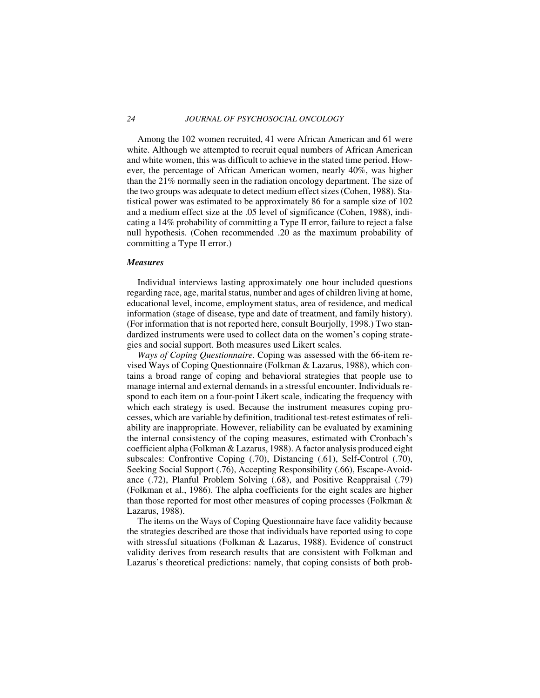Among the 102 women recruited, 41 were African American and 61 were white. Although we attempted to recruit equal numbers of African American and white women, this was difficult to achieve in the stated time period. However, the percentage of African American women, nearly 40%, was higher than the 21% normally seen in the radiation oncology department. The size of the two groups was adequate to detect medium effect sizes (Cohen, 1988). Statistical power was estimated to be approximately 86 for a sample size of 102 and a medium effect size at the .05 level of significance (Cohen, 1988), indicating a 14% probability of committing a Type II error, failure to reject a false null hypothesis. (Cohen recommended .20 as the maximum probability of committing a Type II error.)

#### *Measures*

Individual interviews lasting approximately one hour included questions regarding race, age, marital status, number and ages of children living at home, educational level, income, employment status, area of residence, and medical information (stage of disease, type and date of treatment, and family history). (For information that is not reported here, consult Bourjolly, 1998.) Two standardized instruments were used to collect data on the women's coping strategies and social support. Both measures used Likert scales.

*Ways of Coping Questionnaire*. Coping was assessed with the 66-item revised Ways of Coping Questionnaire (Folkman & Lazarus, 1988), which contains a broad range of coping and behavioral strategies that people use to manage internal and external demands in a stressful encounter. Individuals respond to each item on a four-point Likert scale, indicating the frequency with which each strategy is used. Because the instrument measures coping processes, which are variable by definition, traditional test-retest estimates of reliability are inappropriate. However, reliability can be evaluated by examining the internal consistency of the coping measures, estimated with Cronbach's coefficient alpha (Folkman & Lazarus, 1988). A factor analysis produced eight subscales: Confrontive Coping (.70), Distancing (.61), Self-Control (.70), Seeking Social Support (.76), Accepting Responsibility (.66), Escape-Avoidance (.72), Planful Problem Solving (.68), and Positive Reappraisal (.79) (Folkman et al., 1986). The alpha coefficients for the eight scales are higher than those reported for most other measures of coping processes (Folkman & Lazarus, 1988).

The items on the Ways of Coping Questionnaire have face validity because the strategies described are those that individuals have reported using to cope with stressful situations (Folkman & Lazarus, 1988). Evidence of construct validity derives from research results that are consistent with Folkman and Lazarus's theoretical predictions: namely, that coping consists of both prob-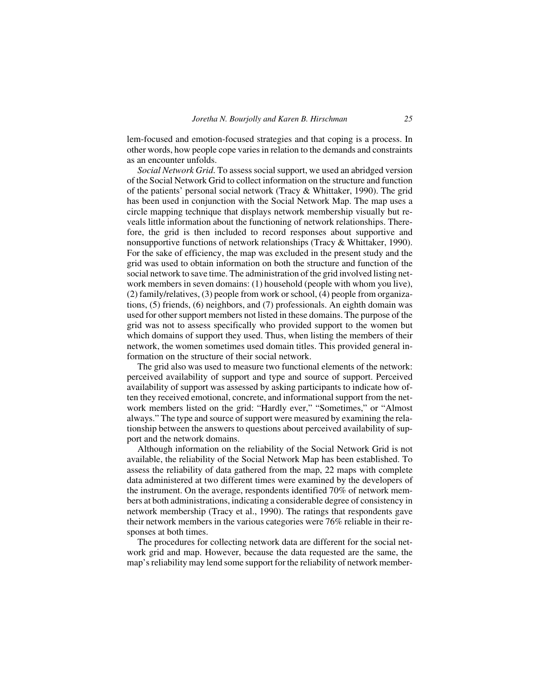lem-focused and emotion-focused strategies and that coping is a process. In other words, how people cope varies in relation to the demands and constraints as an encounter unfolds.

*Social Network Grid*. To assess social support, we used an abridged version of the Social Network Grid to collect information on the structure and function of the patients' personal social network (Tracy & Whittaker, 1990). The grid has been used in conjunction with the Social Network Map. The map uses a circle mapping technique that displays network membership visually but reveals little information about the functioning of network relationships. Therefore, the grid is then included to record responses about supportive and nonsupportive functions of network relationships (Tracy & Whittaker, 1990). For the sake of efficiency, the map was excluded in the present study and the grid was used to obtain information on both the structure and function of the social network to save time. The administration of the grid involved listing network members in seven domains: (1) household (people with whom you live), (2) family/relatives, (3) people from work or school, (4) people from organizations, (5) friends, (6) neighbors, and (7) professionals. An eighth domain was used for other support members not listed in these domains. The purpose of the grid was not to assess specifically who provided support to the women but which domains of support they used. Thus, when listing the members of their network, the women sometimes used domain titles. This provided general information on the structure of their social network.

The grid also was used to measure two functional elements of the network: perceived availability of support and type and source of support. Perceived availability of support was assessed by asking participants to indicate how often they received emotional, concrete, and informational support from the network members listed on the grid: "Hardly ever," "Sometimes," or "Almost always." The type and source of support were measured by examining the relationship between the answers to questions about perceived availability of support and the network domains.

Although information on the reliability of the Social Network Grid is not available, the reliability of the Social Network Map has been established. To assess the reliability of data gathered from the map, 22 maps with complete data administered at two different times were examined by the developers of the instrument. On the average, respondents identified 70% of network members at both administrations, indicating a considerable degree of consistency in network membership (Tracy et al., 1990). The ratings that respondents gave their network members in the various categories were 76% reliable in their responses at both times.

The procedures for collecting network data are different for the social network grid and map. However, because the data requested are the same, the map's reliability may lend some support for the reliability of network member-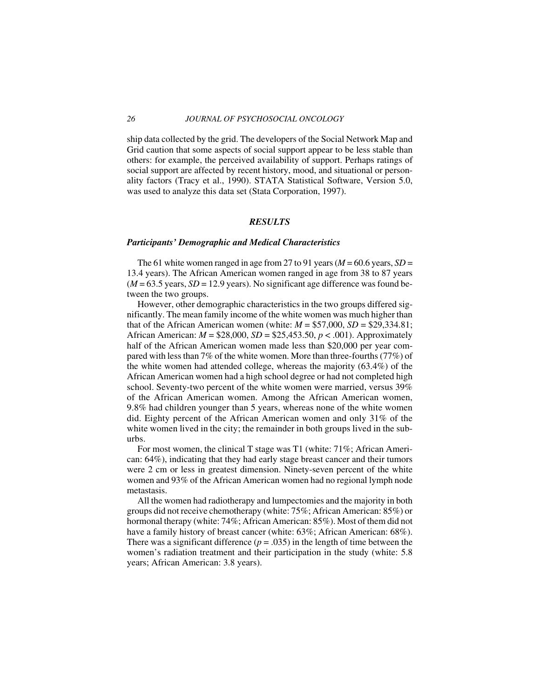ship data collected by the grid. The developers of the Social Network Map and Grid caution that some aspects of social support appear to be less stable than others: for example, the perceived availability of support. Perhaps ratings of social support are affected by recent history, mood, and situational or personality factors (Tracy et al., 1990). STATA Statistical Software, Version 5.0, was used to analyze this data set (Stata Corporation, 1997).

#### *RESULTS*

#### *Participants' Demographic and Medical Characteristics*

The 61 white women ranged in age from 27 to 91 years ( $M = 60.6$  years,  $SD =$ 13.4 years). The African American women ranged in age from 38 to 87 years  $(M = 63.5$  years,  $SD = 12.9$  years). No significant age difference was found between the two groups.

However, other demographic characteristics in the two groups differed significantly. The mean family income of the white women was much higher than that of the African American women (white:  $M = $57,000$ ,  $SD = $29,334.81$ ; African American: *M* = \$28,000, *SD* = \$25,453.50, *p* < .001). Approximately half of the African American women made less than \$20,000 per year compared with less than 7% of the white women. More than three-fourths (77%) of the white women had attended college, whereas the majority (63.4%) of the African American women had a high school degree or had not completed high school. Seventy-two percent of the white women were married, versus 39% of the African American women. Among the African American women, 9.8% had children younger than 5 years, whereas none of the white women did. Eighty percent of the African American women and only 31% of the white women lived in the city; the remainder in both groups lived in the suburbs.

For most women, the clinical T stage was T1 (white: 71%; African American: 64%), indicating that they had early stage breast cancer and their tumors were 2 cm or less in greatest dimension. Ninety-seven percent of the white women and 93% of the African American women had no regional lymph node metastasis.

All the women had radiotherapy and lumpectomies and the majority in both groups did not receive chemotherapy (white: 75%; African American: 85%) or hormonal therapy (white: 74%; African American: 85%). Most of them did not have a family history of breast cancer (white: 63%; African American: 68%). There was a significant difference  $(p = .035)$  in the length of time between the women's radiation treatment and their participation in the study (white: 5.8 years; African American: 3.8 years).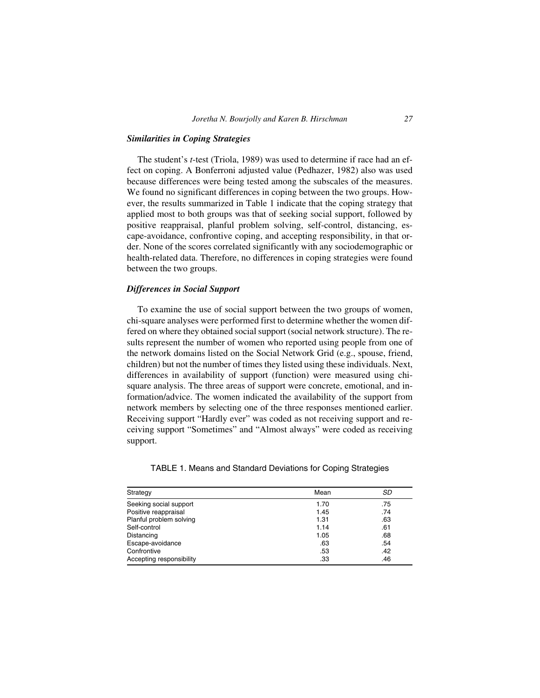#### *Similarities in Coping Strategies*

The student's *t*-test (Triola, 1989) was used to determine if race had an effect on coping. A Bonferroni adjusted value (Pedhazer, 1982) also was used because differences were being tested among the subscales of the measures. We found no significant differences in coping between the two groups. However, the results summarized in Table 1 indicate that the coping strategy that applied most to both groups was that of seeking social support, followed by positive reappraisal, planful problem solving, self-control, distancing, escape-avoidance, confrontive coping, and accepting responsibility, in that order. None of the scores correlated significantly with any sociodemographic or health-related data. Therefore, no differences in coping strategies were found between the two groups.

#### *Differences in Social Support*

To examine the use of social support between the two groups of women, chi-square analyses were performed first to determine whether the women differed on where they obtained social support (social network structure). The results represent the number of women who reported using people from one of the network domains listed on the Social Network Grid (e.g., spouse, friend, children) but not the number of times they listed using these individuals. Next, differences in availability of support (function) were measured using chisquare analysis. The three areas of support were concrete, emotional, and information/advice. The women indicated the availability of the support from network members by selecting one of the three responses mentioned earlier. Receiving support "Hardly ever" was coded as not receiving support and receiving support "Sometimes" and "Almost always" were coded as receiving support.

| Strategy                 | Mean | SD  |
|--------------------------|------|-----|
| Seeking social support   | 1.70 | .75 |
| Positive reappraisal     | 1.45 | .74 |
| Planful problem solving  | 1.31 | .63 |
| Self-control             | 1.14 | .61 |
| Distancing               | 1.05 | .68 |
| Escape-avoidance         | .63  | .54 |
| Confrontive              | .53  | .42 |
| Accepting responsibility | .33  | .46 |

TABLE 1. Means and Standard Deviations for Coping Strategies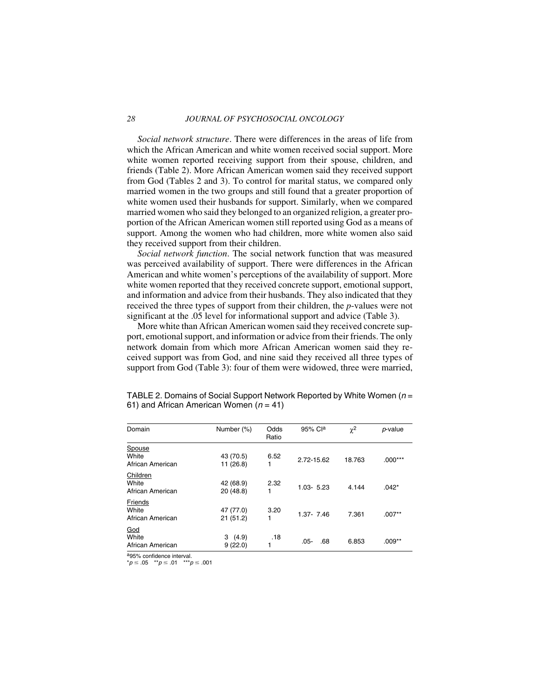*Social network structure*. There were differences in the areas of life from which the African American and white women received social support. More white women reported receiving support from their spouse, children, and friends (Table 2). More African American women said they received support from God (Tables 2 and 3). To control for marital status, we compared only married women in the two groups and still found that a greater proportion of white women used their husbands for support. Similarly, when we compared married women who said they belonged to an organized religion, a greater proportion of the African American women still reported using God as a means of support. Among the women who had children, more white women also said they received support from their children.

*Social network function*. The social network function that was measured was perceived availability of support. There were differences in the African American and white women's perceptions of the availability of support. More white women reported that they received concrete support, emotional support, and information and advice from their husbands. They also indicated that they received the three types of support from their children, the *p*-values were not significant at the .05 level for informational support and advice (Table 3).

More white than African American women said they received concrete support, emotional support, and information or advice from their friends. The only network domain from which more African American women said they received support was from God, and nine said they received all three types of support from God (Table 3): four of them were widowed, three were married,

| Domain                                | Number (%)             | Odds<br>Ratio | 95% Cla        | $\chi^2$ | $p$ -value |
|---------------------------------------|------------------------|---------------|----------------|----------|------------|
| Spouse<br>White<br>African American   | 43 (70.5)<br>11 (26.8) | 6.52          | 2.72-15.62     | 18.763   | $.000***$  |
| Children<br>White<br>African American | 42 (68.9)<br>20(48.8)  | 2.32<br>1     | $1.03 - 5.23$  | 4.144    | $.042*$    |
| Friends<br>White<br>African American  | 47 (77.0)<br>21(51.2)  | 3.20          | $1.37 - 7.46$  | 7.361    | $.007**$   |
| God<br>White<br>African American      | 3(4.9)<br>9(22.0)      | .18           | $.05 -$<br>.68 | 6.853    | $.009**$   |

TABLE 2. Domains of Social Support Network Reported by White Women  $(n =$ 61) and African American Women ( $n = 41$ )

<sup>ag</sup>5% confidence interval.<br>\* $p \le .05$  \*\* $p \le .01$  \*\*\* $p \le .001$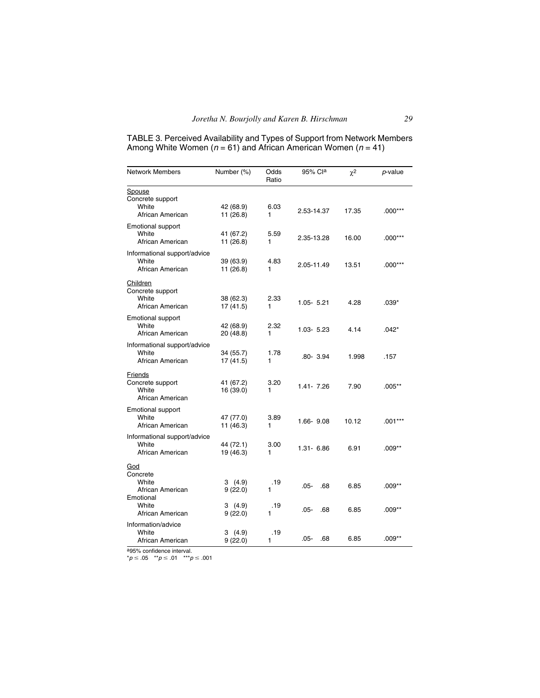TABLE 3. Perceived Availability and Types of Support from Network Members Among White Women ( $n = 61$ ) and African American Women ( $n = 41$ )

| <b>Network Members</b>                                    | Number (%)             | Odds<br>Ratio | 95% Cla        | $\chi^2$ | <i>p</i> -value |
|-----------------------------------------------------------|------------------------|---------------|----------------|----------|-----------------|
| Spouse                                                    |                        |               |                |          |                 |
| Concrete support<br>White<br>African American             | 42 (68.9)<br>11 (26.8) | 6.03<br>1     | 2.53-14.37     | 17.35    | $.000***$       |
| Emotional support<br>White<br>African American            | 41 (67.2)<br>11 (26.8) | 5.59<br>1     | 2.35-13.28     | 16.00    | $.000***$       |
| Informational support/advice<br>White<br>African American | 39 (63.9)<br>11 (26.8) | 4.83<br>1     | 2.05-11.49     | 13.51    | $.000***$       |
| Children<br>Concrete support<br>White<br>African American | 38 (62.3)<br>17 (41.5) | 2.33<br>1     | 1.05- 5.21     | 4.28     | $.039*$         |
| <b>Emotional support</b><br>White<br>African American     | 42 (68.9)<br>20 (48.8) | 2.32<br>1     | $1.03 - 5.23$  | 4.14     | $.042*$         |
| Informational support/advice<br>White<br>African American | 34 (55.7)<br>17 (41.5) | 1.78<br>1     | .80- 3.94      | 1.998    | .157            |
| Friends<br>Concrete support<br>White<br>African American  | 41 (67.2)<br>16 (39.0) | 3.20<br>1     | 1.41-7.26      | 7.90     | $.005***$       |
| Emotional support<br>White<br>African American            | 47 (77.0)<br>11 (46.3) | 3.89<br>1     | 1.66-9.08      | 10.12    | $.001***$       |
| Informational support/advice<br>White<br>African American | 44 (72.1)<br>19 (46.3) | 3.00<br>1     | $1.31 - 6.86$  | 6.91     | $.009**$        |
| God<br>Concrete<br>White<br>African American<br>Emotional | 3(4.9)<br>9(22.0)      | .19<br>1      | .05-<br>.68    | 6.85     | $.009**$        |
| White<br>African American                                 | 3(4.9)<br>9(22.0)      | .19<br>1      | $.05 -$<br>.68 | 6.85     | $.009**$        |
| Information/advice<br>White<br>African American           | 3 (4.9)<br>9(22.0)     | .19<br>1      | .05-<br>.68    | 6.85     | $.009**$        |

<sup>ag</sup>5% confidence interval.<br>\* $p \le .05$  \*\* $p \le .01$  \*\*\* $p \le .001$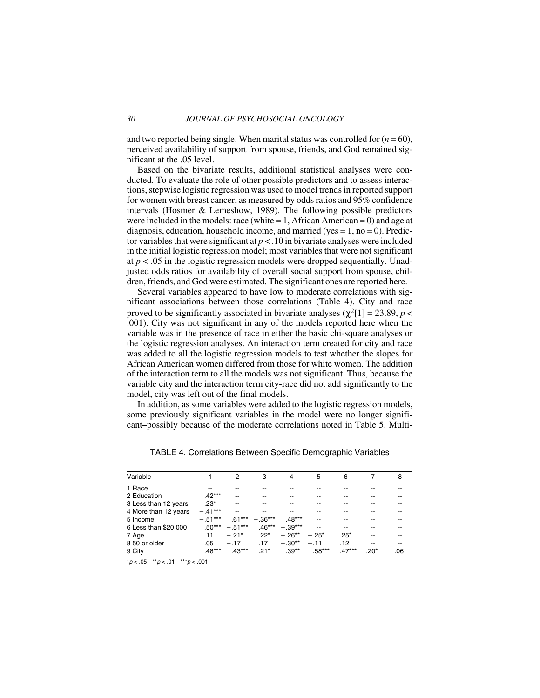and two reported being single. When marital status was controlled for  $(n = 60)$ , perceived availability of support from spouse, friends, and God remained significant at the .05 level.

Based on the bivariate results, additional statistical analyses were conducted. To evaluate the role of other possible predictors and to assess interactions, stepwise logistic regression was used to model trends in reported support for women with breast cancer, as measured by odds ratios and 95% confidence intervals (Hosmer & Lemeshow, 1989). The following possible predictors were included in the models: race (white  $= 1$ , African American  $= 0$ ) and age at diagnosis, education, household income, and married (yes  $= 1$ , no  $= 0$ ). Predictor variables that were significant at  $p < 10$  in bivariate analyses were included in the initial logistic regression model; most variables that were not significant at  $p < .05$  in the logistic regression models were dropped sequentially. Unadjusted odds ratios for availability of overall social support from spouse, children, friends, and God were estimated. The significant ones are reported here.

Several variables appeared to have low to moderate correlations with significant associations between those correlations (Table 4). City and race proved to be significantly associated in bivariate analyses ( $\chi^2[1] = 23.89$ , *p* < .001). City was not significant in any of the models reported here when the variable was in the presence of race in either the basic chi-square analyses or the logistic regression analyses. An interaction term created for city and race was added to all the logistic regression models to test whether the slopes for African American women differed from those for white women. The addition of the interaction term to all the models was not significant. Thus, because the variable city and the interaction term city-race did not add significantly to the model, city was left out of the final models.

In addition, as some variables were added to the logistic regression models, some previously significant variables in the model were no longer significant–possibly because of the moderate correlations noted in Table 5. Multi-

| Variable             |           | 2                 | з         | 4                   | 5      | 6        |        | 8   |
|----------------------|-----------|-------------------|-----------|---------------------|--------|----------|--------|-----|
| 1 Race               |           |                   |           |                     |        |          |        |     |
| 2 Education          | $-.42***$ | --                |           |                     |        |          |        |     |
| 3 Less than 12 years | $.23*$    | $-$               |           |                     | --     |          | --     |     |
| 4 More than 12 years | $-.41***$ | --                | --        |                     |        |          |        |     |
| 5 Income             | $-.51***$ | $.61***$          | $-.36***$ | $.48***$            | --     |          |        |     |
| 6 Less than \$20,000 |           | $.50*** - .51***$ |           | $.46***$ -.39***    | --     | --       |        |     |
| 7 Age                | .11       | $-21*$            | $.22*$    | $-26**$             | $-25*$ | $.25*$   | $-$    |     |
| 8 50 or older        | .05       | $-.17$            | .17       | $-.30**$            | $-.11$ | .12      | $-$    |     |
| 9 City               | $.48***$  | $-.43***$         | $.21*$    | $-.39***$ $-.58***$ |        | $.47***$ | $.20*$ | .06 |

TABLE 4. Correlations Between Specific Demographic Variables

 $*p < .05$  \*\*p < .01 \*\*\*p < .001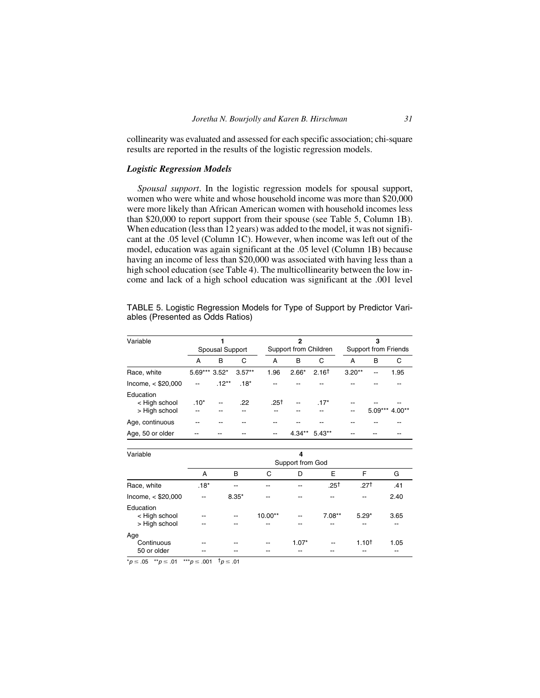collinearity was evaluated and assessed for each specific association; chi-square results are reported in the results of the logistic regression models.

#### *Logistic Regression Models*

*Spousal support*. In the logistic regression models for spousal support, women who were white and whose household income was more than \$20,000 were more likely than African American women with household incomes less than \$20,000 to report support from their spouse (see Table 5, Column 1B). When education (less than 12 years) was added to the model, it was not significant at the .05 level (Column 1C). However, when income was left out of the model, education was again significant at the .05 level (Column 1B) because having an income of less than \$20,000 was associated with having less than a high school education (see Table 4). The multicollinearity between the low income and lack of a high school education was significant at the .001 level

TABLE 5. Logistic Regression Models for Type of Support by Predictor Variables (Presented as Odds Ratios)

| Variable                                    |           |                 |          | 2 |                       |           |                   | з |                      |           |          |
|---------------------------------------------|-----------|-----------------|----------|---|-----------------------|-----------|-------------------|---|----------------------|-----------|----------|
|                                             |           | Spousal Support |          |   | Support from Children |           |                   |   | Support from Friends |           |          |
|                                             | A         | B               | C        |   | А                     | B         | C                 |   | А                    | B         | С        |
| Race, white                                 | $5.69***$ | $3.52*$         | $3.57**$ |   | 1.96                  | $2.66*$   | 2.16 <sup>†</sup> |   | $3.20**$             | --        | 1.95     |
| Income, < \$20,000                          | $-$       | $.12***$        | $.18*$   |   |                       |           |                   |   |                      |           |          |
| Education<br>< High school<br>> High school | $.10*$    | --              | .22      |   | .25†                  | $-$       | $.17*$            |   | --<br>--             | $5.09***$ | $4.00**$ |
| Age, continuous                             |           |                 |          |   |                       |           |                   |   |                      |           |          |
| Age, 50 or older                            |           |                 | --       |   | --                    | $4.34***$ | $5.43**$          |   |                      |           |          |
|                                             |           |                 |          |   |                       |           |                   |   |                      |           |          |

| Variable                   |                  |         |           | 4       |          |                   |      |  |  |
|----------------------------|------------------|---------|-----------|---------|----------|-------------------|------|--|--|
|                            | Support from God |         |           |         |          |                   |      |  |  |
| F<br>B<br>C<br>Е<br>D<br>A |                  |         |           |         |          |                   |      |  |  |
| Race, white                | $.18*$           | --      | --        | --      | .25†     | .27†              | .41  |  |  |
| Income < \$20,000          | $-$              | $8.35*$ | --        | --      | --       | --                | 2.40 |  |  |
| Education<br>< High school | --               | --      | $10.00**$ | --      | $7.08**$ | $5.29*$           | 3.65 |  |  |
| > High school              | --               |         |           |         |          | --                | --   |  |  |
| Age                        |                  |         |           |         |          |                   |      |  |  |
| Continuous                 | --               |         | --        | $1.07*$ | --       | 1.10 <sup>†</sup> | 1.05 |  |  |
| 50 or older                | --               |         |           |         |          | --                | --   |  |  |

 $*_{p} \leq .05$  \*\*p  $\leq .01$  \*\*\*p  $\leq .001$   $\dagger_{p} \leq .01$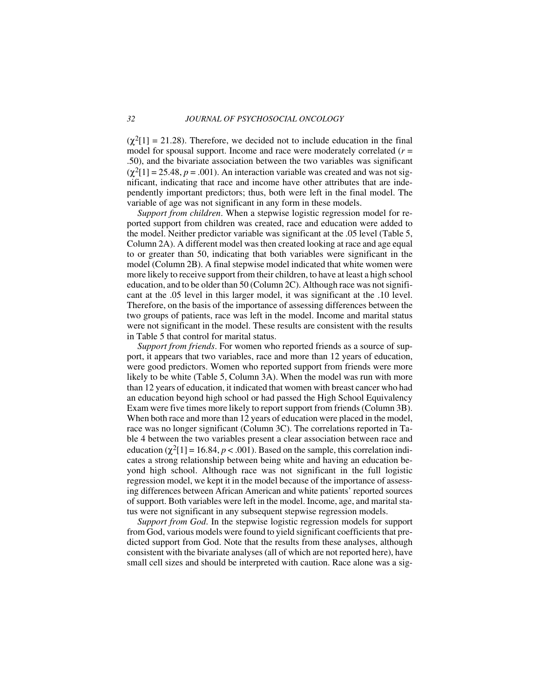$(\chi^2[1] = 21.28)$ . Therefore, we decided not to include education in the final model for spousal support. Income and race were moderately correlated (*r* = .50), and the bivariate association between the two variables was significant  $(\chi^2[1] = 25.48, p = .001)$ . An interaction variable was created and was not significant, indicating that race and income have other attributes that are independently important predictors; thus, both were left in the final model. The variable of age was not significant in any form in these models.

*Support from children*. When a stepwise logistic regression model for reported support from children was created, race and education were added to the model. Neither predictor variable was significant at the .05 level (Table 5, Column 2A). A different model was then created looking at race and age equal to or greater than 50, indicating that both variables were significant in the model (Column 2B). A final stepwise model indicated that white women were more likely to receive support from their children, to have at least a high school education, and to be older than 50 (Column 2C). Although race was not significant at the .05 level in this larger model, it was significant at the .10 level. Therefore, on the basis of the importance of assessing differences between the two groups of patients, race was left in the model. Income and marital status were not significant in the model. These results are consistent with the results in Table 5 that control for marital status.

*Support from friends*. For women who reported friends as a source of support, it appears that two variables, race and more than 12 years of education, were good predictors. Women who reported support from friends were more likely to be white (Table 5, Column 3A). When the model was run with more than 12 years of education, it indicated that women with breast cancer who had an education beyond high school or had passed the High School Equivalency Exam were five times more likely to report support from friends (Column 3B). When both race and more than 12 years of education were placed in the model, race was no longer significant (Column 3C). The correlations reported in Table 4 between the two variables present a clear association between race and education ( $\chi^2$ [1] = 16.84, *p* < .001). Based on the sample, this correlation indicates a strong relationship between being white and having an education beyond high school. Although race was not significant in the full logistic regression model, we kept it in the model because of the importance of assessing differences between African American and white patients' reported sources of support. Both variables were left in the model. Income, age, and marital status were not significant in any subsequent stepwise regression models.

*Support from God*. In the stepwise logistic regression models for support from God, various models were found to yield significant coefficients that predicted support from God. Note that the results from these analyses, although consistent with the bivariate analyses (all of which are not reported here), have small cell sizes and should be interpreted with caution. Race alone was a sig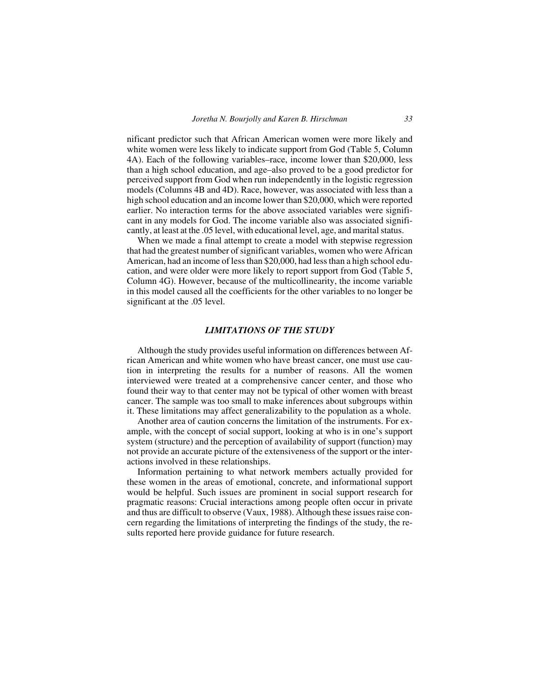nificant predictor such that African American women were more likely and white women were less likely to indicate support from God (Table 5, Column 4A). Each of the following variables–race, income lower than \$20,000, less than a high school education, and age–also proved to be a good predictor for perceived support from God when run independently in the logistic regression models (Columns 4B and 4D). Race, however, was associated with less than a high school education and an income lower than \$20,000, which were reported earlier. No interaction terms for the above associated variables were significant in any models for God. The income variable also was associated significantly, at least at the .05 level, with educational level, age, and marital status.

When we made a final attempt to create a model with stepwise regression that had the greatest number of significant variables, women who were African American, had an income of less than \$20,000, had less than a high school education, and were older were more likely to report support from God (Table 5, Column 4G). However, because of the multicollinearity, the income variable in this model caused all the coefficients for the other variables to no longer be significant at the .05 level.

#### *LIMITATIONS OF THE STUDY*

Although the study provides useful information on differences between African American and white women who have breast cancer, one must use caution in interpreting the results for a number of reasons. All the women interviewed were treated at a comprehensive cancer center, and those who found their way to that center may not be typical of other women with breast cancer. The sample was too small to make inferences about subgroups within it. These limitations may affect generalizability to the population as a whole.

Another area of caution concerns the limitation of the instruments. For example, with the concept of social support, looking at who is in one's support system (structure) and the perception of availability of support (function) may not provide an accurate picture of the extensiveness of the support or the interactions involved in these relationships.

Information pertaining to what network members actually provided for these women in the areas of emotional, concrete, and informational support would be helpful. Such issues are prominent in social support research for pragmatic reasons: Crucial interactions among people often occur in private and thus are difficult to observe (Vaux, 1988). Although these issues raise concern regarding the limitations of interpreting the findings of the study, the results reported here provide guidance for future research.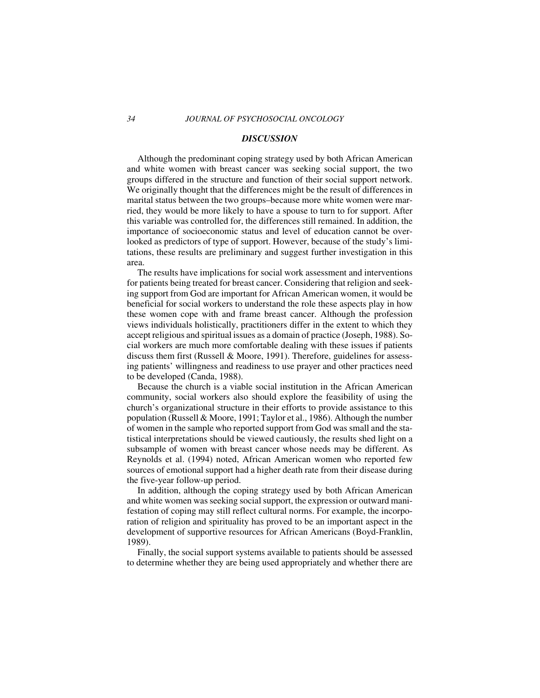#### *DISCUSSION*

Although the predominant coping strategy used by both African American and white women with breast cancer was seeking social support, the two groups differed in the structure and function of their social support network. We originally thought that the differences might be the result of differences in marital status between the two groups–because more white women were married, they would be more likely to have a spouse to turn to for support. After this variable was controlled for, the differences still remained. In addition, the importance of socioeconomic status and level of education cannot be overlooked as predictors of type of support. However, because of the study's limitations, these results are preliminary and suggest further investigation in this area.

The results have implications for social work assessment and interventions for patients being treated for breast cancer. Considering that religion and seeking support from God are important for African American women, it would be beneficial for social workers to understand the role these aspects play in how these women cope with and frame breast cancer. Although the profession views individuals holistically, practitioners differ in the extent to which they accept religious and spiritual issues as a domain of practice (Joseph, 1988). Social workers are much more comfortable dealing with these issues if patients discuss them first (Russell & Moore, 1991). Therefore, guidelines for assessing patients' willingness and readiness to use prayer and other practices need to be developed (Canda, 1988).

Because the church is a viable social institution in the African American community, social workers also should explore the feasibility of using the church's organizational structure in their efforts to provide assistance to this population (Russell & Moore, 1991; Taylor et al., 1986). Although the number of women in the sample who reported support from God was small and the statistical interpretations should be viewed cautiously, the results shed light on a subsample of women with breast cancer whose needs may be different. As Reynolds et al. (1994) noted, African American women who reported few sources of emotional support had a higher death rate from their disease during the five-year follow-up period.

In addition, although the coping strategy used by both African American and white women was seeking social support, the expression or outward manifestation of coping may still reflect cultural norms. For example, the incorporation of religion and spirituality has proved to be an important aspect in the development of supportive resources for African Americans (Boyd-Franklin, 1989).

Finally, the social support systems available to patients should be assessed to determine whether they are being used appropriately and whether there are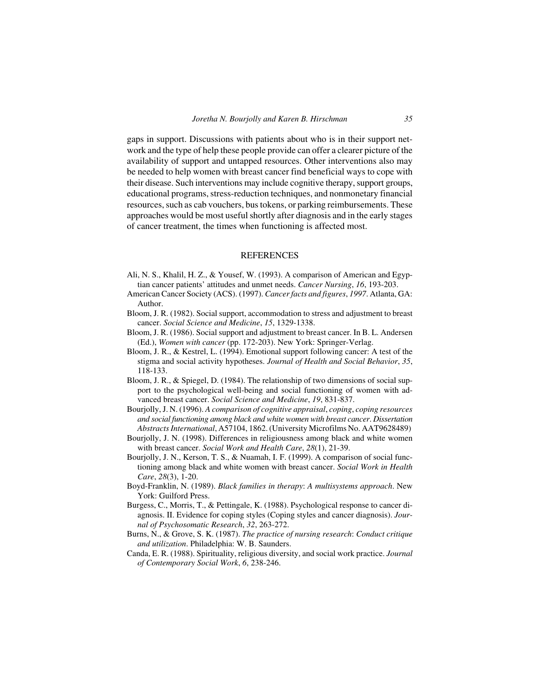gaps in support. Discussions with patients about who is in their support network and the type of help these people provide can offer a clearer picture of the availability of support and untapped resources. Other interventions also may be needed to help women with breast cancer find beneficial ways to cope with their disease. Such interventions may include cognitive therapy, support groups, educational programs, stress-reduction techniques, and nonmonetary financial resources, such as cab vouchers, bus tokens, or parking reimbursements. These approaches would be most useful shortly after diagnosis and in the early stages of cancer treatment, the times when functioning is affected most.

#### REFERENCES

- Ali, N. S., Khalil, H. Z., & Yousef, W. (1993). A comparison of American and Egyptian cancer patients' attitudes and unmet needs. *Cancer Nursing*, *16*, 193-203.
- American Cancer Society (ACS). (1997). *Cancer facts and figures*, *1997*. Atlanta, GA: Author.
- Bloom, J. R. (1982). Social support, accommodation to stress and adjustment to breast cancer. *Social Science and Medicine*, *15*, 1329-1338.
- Bloom, J. R. (1986). Social support and adjustment to breast cancer. In B. L. Andersen (Ed.), *Women with cancer* (pp. 172-203). New York: Springer-Verlag.
- Bloom, J. R., & Kestrel, L. (1994). Emotional support following cancer: A test of the stigma and social activity hypotheses. *Journal of Health and Social Behavior*, *35*, 118-133.
- Bloom, J. R., & Spiegel, D. (1984). The relationship of two dimensions of social support to the psychological well-being and social functioning of women with advanced breast cancer. *Social Science and Medicine*, *19*, 831-837.
- Bourjolly, J. N. (1996). *A comparison of cognitive appraisal*, *coping*, *coping resources and social functioning among black and white women with breast cancer*. *Dissertation Abstracts International*, A57104, 1862. (University Microfilms No. AAT9628489)
- Bourjolly, J. N. (1998). Differences in religiousness among black and white women with breast cancer. *Social Work and Health Care*, *28*(1), 21-39.
- Bourjolly, J. N., Kerson, T. S., & Nuamah, I. F. (1999). A comparison of social functioning among black and white women with breast cancer. *Social Work in Health Care*, *28*(3), 1-20.
- Boyd-Franklin, N. (1989). *Black families in therapy*: *A multisystems approach*. New York: Guilford Press.
- Burgess, C., Morris, T., & Pettingale, K. (1988). Psychological response to cancer diagnosis. II. Evidence for coping styles (Coping styles and cancer diagnosis). *Journal of Psychosomatic Research*, *32*, 263-272.
- Burns, N., & Grove, S. K. (1987). *The practice of nursing research*: *Conduct critique and utilization*. Philadelphia: W. B. Saunders.
- Canda, E. R. (1988). Spirituality, religious diversity, and social work practice. *Journal of Contemporary Social Work*, *6*, 238-246.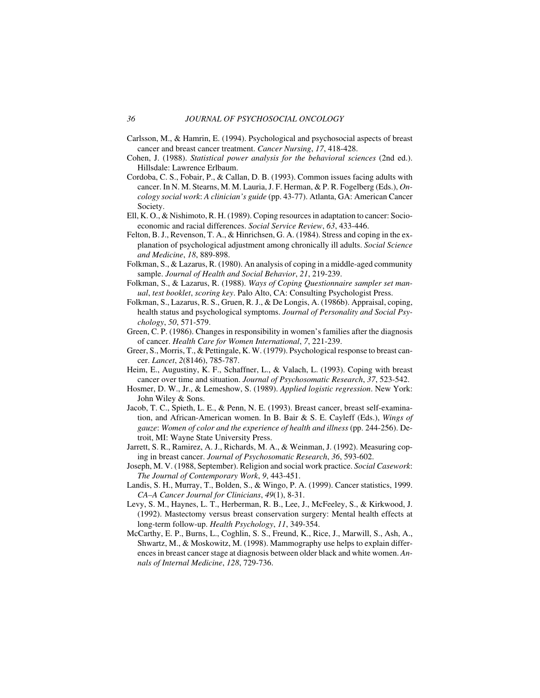- Carlsson, M., & Hamrin, E. (1994). Psychological and psychosocial aspects of breast cancer and breast cancer treatment. *Cancer Nursing*, *17*, 418-428.
- Cohen, J. (1988). *Statistical power analysis for the behavioral sciences* (2nd ed.). Hillsdale: Lawrence Erlbaum.
- Cordoba, C. S., Fobair, P., & Callan, D. B. (1993). Common issues facing adults with cancer. In N. M. Stearns, M. M. Lauria, J. F. Herman, & P. R. Fogelberg (Eds.), *Oncology social work*: *A clinician's guide* (pp. 43-77). Atlanta, GA: American Cancer Society.
- Ell, K. O., & Nishimoto, R. H. (1989). Coping resources in adaptation to cancer: Socioeconomic and racial differences. *Social Service Review*, *63*, 433-446.
- Felton, B. J., Revenson, T. A., & Hinrichsen, G. A. (1984). Stress and coping in the explanation of psychological adjustment among chronically ill adults. *Social Science and Medicine*, *18*, 889-898.
- Folkman, S., & Lazarus, R. (1980). An analysis of coping in a middle-aged community sample. *Journal of Health and Social Behavior*, *21*, 219-239.
- Folkman, S., & Lazarus, R. (1988). *Ways of Coping Questionnaire sampler set manual*, *test booklet*, *scoring key*. Palo Alto, CA: Consulting Psychologist Press.
- Folkman, S., Lazarus, R. S., Gruen, R. J., & De Longis, A. (1986b). Appraisal, coping, health status and psychological symptoms. *Journal of Personality and Social Psychology*, *50*, 571-579.
- Green, C. P. (1986). Changes in responsibility in women's families after the diagnosis of cancer. *Health Care for Women International*, *7*, 221-239.
- Greer, S., Morris, T., & Pettingale, K. W. (1979). Psychological response to breast cancer. *Lancet*, *2*(8146), 785-787.
- Heim, E., Augustiny, K. F., Schaffner, L., & Valach, L. (1993). Coping with breast cancer over time and situation. *Journal of Psychosomatic Research*, *37*, 523-542.
- Hosmer, D. W., Jr., & Lemeshow, S. (1989). *Applied logistic regression*. New York: John Wiley & Sons.
- Jacob, T. C., Spieth, L. E., & Penn, N. E. (1993). Breast cancer, breast self-examination, and African-American women. In B. Bair & S. E. Cayleff (Eds.), *Wings of gauze*: *Women of color and the experience of health and illness* (pp. 244-256). Detroit, MI: Wayne State University Press.
- Jarrett, S. R., Ramirez, A. J., Richards, M. A., & Weinman, J. (1992). Measuring coping in breast cancer. *Journal of Psychosomatic Research*, *36*, 593-602.
- Joseph, M. V. (1988, September). Religion and social work practice. *Social Casework*: *The Journal of Contemporary Work*, *9*, 443-451.
- Landis, S. H., Murray, T., Bolden, S., & Wingo, P. A. (1999). Cancer statistics, 1999. *CA–A Cancer Journal for Clinicians*, *49*(1), 8-31.
- Levy, S. M., Haynes, L. T., Herberman, R. B., Lee, J., McFeeley, S., & Kirkwood, J. (1992). Mastectomy versus breast conservation surgery: Mental health effects at long-term follow-up. *Health Psychology*, *11*, 349-354.
- McCarthy, E. P., Burns, L., Coghlin, S. S., Freund, K., Rice, J., Marwill, S., Ash, A., Shwartz, M., & Moskowitz, M. (1998). Mammography use helps to explain differences in breast cancer stage at diagnosis between older black and white women. *Annals of Internal Medicine*, *128*, 729-736.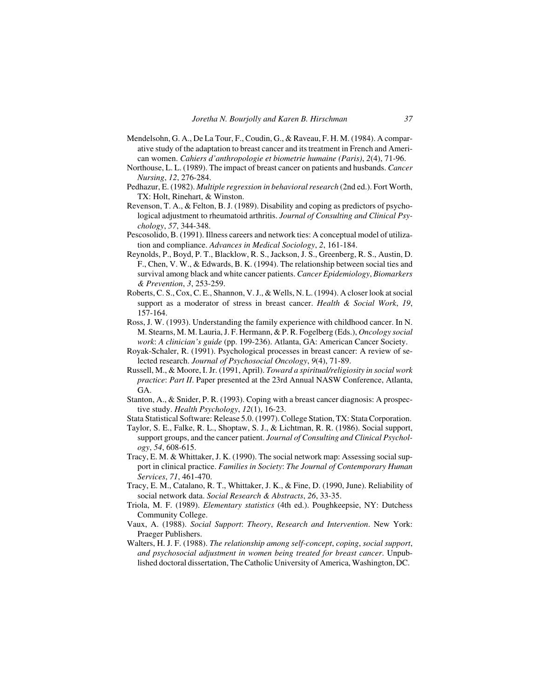- Mendelsohn, G. A., De La Tour, F., Coudin, G., & Raveau, F. H. M. (1984). A comparative study of the adaptation to breast cancer and its treatment in French and American women. *Cahiers d'anthropologie et biometrie humaine (Paris)*, *2*(4), 71-96.
- Northouse, L. L. (1989). The impact of breast cancer on patients and husbands. *Cancer Nursing*, *12*, 276-284.
- Pedhazur, E. (1982). *Multiple regression in behavioral research* (2nd ed.). Fort Worth, TX: Holt, Rinehart, & Winston.
- Revenson, T. A., & Felton, B. J. (1989). Disability and coping as predictors of psychological adjustment to rheumatoid arthritis. *Journal of Consulting and Clinical Psychology*, *57*, 344-348.
- Pescosolido, B. (1991). Illness careers and network ties: A conceptual model of utilization and compliance. *Advances in Medical Sociology*, *2*, 161-184.
- Reynolds, P., Boyd, P. T., Blacklow, R. S., Jackson, J. S., Greenberg, R. S., Austin, D. F., Chen, V. W., & Edwards, B. K. (1994). The relationship between social ties and survival among black and white cancer patients. *Cancer Epidemiology*, *Biomarkers & Prevention*, *3*, 253-259.
- Roberts, C. S., Cox, C. E., Shannon, V. J., & Wells, N. L. (1994). A closer look at social support as a moderator of stress in breast cancer. *Health & Social Work*, *19*, 157-164.
- Ross, J. W. (1993). Understanding the family experience with childhood cancer. In N. M. Stearns, M. M. Lauria, J. F. Hermann, & P. R. Fogelberg (Eds.), *Oncology social work*: *A clinician's guide* (pp. 199-236). Atlanta, GA: American Cancer Society.
- Royak-Schaler, R. (1991). Psychological processes in breast cancer: A review of selected research. *Journal of Psychosocial Oncology*, *9*(4), 71-89.
- Russell, M., & Moore, I. Jr. (1991, April). *Toward a spiritual/religiosity in social work practice*: *Part II*. Paper presented at the 23rd Annual NASW Conference, Atlanta, GA.
- Stanton, A., & Snider, P. R. (1993). Coping with a breast cancer diagnosis: A prospective study. *Health Psychology*, *12*(1), 16-23.
- Stata Statistical Software: Release 5.0. (1997). College Station, TX: Stata Corporation.
- Taylor, S. E., Falke, R. L., Shoptaw, S. J., & Lichtman, R. R. (1986). Social support, support groups, and the cancer patient. *Journal of Consulting and Clinical Psychology*, *54*, 608-615.
- Tracy, E. M. & Whittaker, J. K. (1990). The social network map: Assessing social support in clinical practice. *Families in Society*: *The Journal of Contemporary Human Services*, *71*, 461-470.
- Tracy, E. M., Catalano, R. T., Whittaker, J. K., & Fine, D. (1990, June). Reliability of social network data. *Social Research & Abstracts*, *26*, 33-35.
- Triola, M. F. (1989). *Elementary statistics* (4th ed.). Poughkeepsie, NY: Dutchess Community College.
- Vaux, A. (1988). *Social Support*: *Theory*, *Research and Intervention*. New York: Praeger Publishers.
- Walters, H. J. F. (1988). *The relationship among self-concept*, *coping*, *social support*, *and psychosocial adjustment in women being treated for breast cancer*. Unpublished doctoral dissertation, The Catholic University of America, Washington, DC.